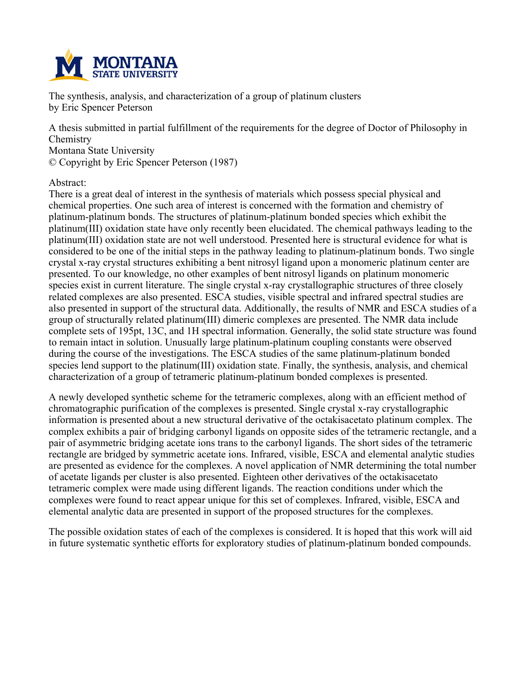

**The synthesis, analysis, and characterization of a group of platinum clusters by Eric Spencer Peterson**

**A thesis submitted in partial fulfillment of the requirements for the degree of Doctor of Philosophy in Chemistry Montana State University © Copyright by Eric Spencer Peterson (1987)**

**Abstract:**

**There is a great deal of interest in the synthesis of materials which possess special physical and chemical properties. One such area of interest is concerned with the formation and chemistry of platinum-platinum bonds. The structures of platinum-platinum bonded species which exhibit the platinum(III) oxidation state have only recently been elucidated. The chemical pathways leading to the platinum(III) oxidation state are not well understood. Presented here is structural evidence for what is considered to be one of the initial steps in the pathway leading to platinum-platinum bonds. Two single crystal x-ray crystal structures exhibiting a bent nitrosyl ligand upon a monomeric platinum center are presented. To our knowledge, no other examples of bent nitrosyl ligands on platinum monomeric species exist in current literature. The single crystal x-ray crystallographic structures of three closely related complexes are also presented. ESCA studies, visible spectral and infrared spectral studies are** also presented in support of the structural data. Additionally, the results of NMR and ESCA studies of a **group of structurally related platinum(III) dimeric complexes are presented. The NMR data include complete sets of 195pt, 13C, and 1H spectral information. Generally, the solid state structure was found to remain intact in solution. Unusually large platinum-platinum coupling constants were observed during the course of the investigations. The ESCA studies of the same platinum-platinum bonded species lend support to the platinum(III) oxidation state. Finally, the synthesis, analysis, and chemical characterization of a group of tetrameric platinum-platinum bonded complexes is presented.**

**A newly developed synthetic scheme for the tetrameric complexes, along with an efficient method of chromatographic purification of the complexes is presented. Single crystal x-ray crystallographic information is presented about a new structural derivative of the octakisacetato platinum complex. The complex exhibits a pair of bridging carbonyl ligands on opposite sides of the tetrameric rectangle, and a pair of asymmetric bridging acetate ions trans to the carbonyl ligands. The short sides of the tetrameric rectangle are bridged by symmetric acetate ions. Infrared, visible, ESCA and elemental analytic studies are presented as evidence for the complexes. A novel application of NMR determining the total number of acetate ligands per cluster is also presented. Eighteen other derivatives of the octakisacetato tetrameric complex were made using different ligands. The reaction conditions under which the complexes were found to react appear unique for this set of complexes. Infrared, visible, ESCA and elemental analytic data are presented in support of the proposed structures for the complexes.**

The possible oxidation states of each of the complexes is considered. It is hoped that this work will aid **in future systematic synthetic efforts for exploratory studies of platinum-platinum bonded compounds.**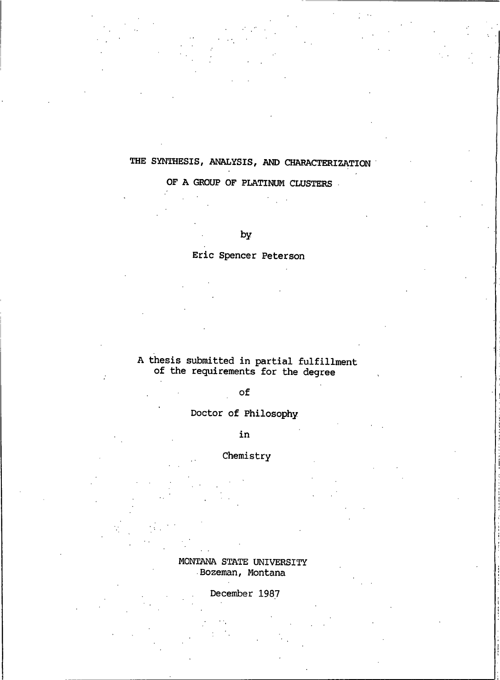### THE SYNTHESIS, ANALYSIS, AND CHARACTERIZATION

### OF A GROUP OF PLATINUM CLUSTERS

by

Eric Spencer Peterson

# A thesis submitted in partial fulfillment<br>of the requirements for the degree

of

ż

### Doctor of Philosophy

in

Chemistry

MONTANA STATE UNIVERSITY Bozeman, Montana

December 1987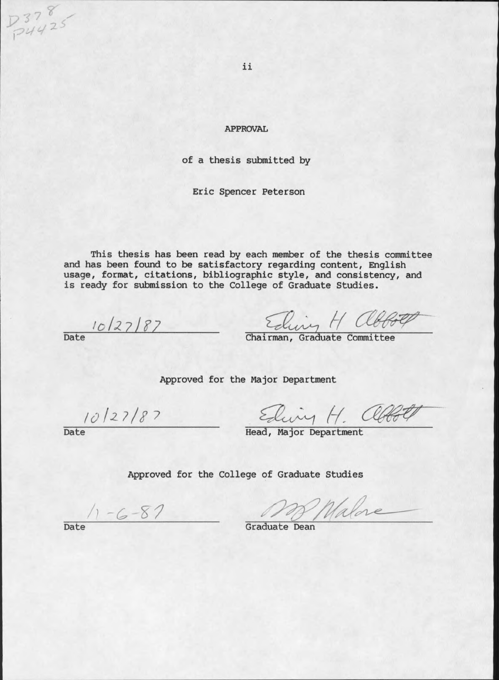**APPROVAL** 

of a thesis submitted by

Eric Spencer Peterson

This thesis has been read by each member of the thesis committee and has been found to be satisfactory regarding content, English usage, format, citations, bibliographic style, and consistency, and is ready for submission to the College of Graduate Studies.

 $10/27/87$ Date

Eliny H abbott

Approved for the Major Department

 $10/27/87$ 

Eding H. allo

 $3378$ 

Head, Major Department

Approved for the College of Graduate Studies

 $\frac{7-6-87}{\text{Date}}$ 

Walve Graduate Dean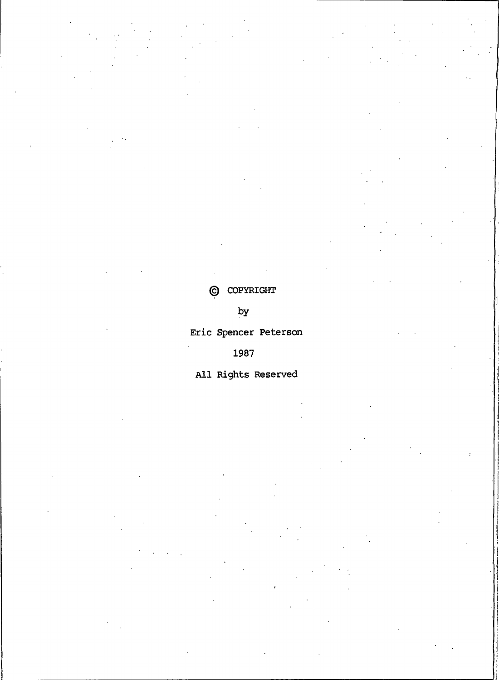### © COPYRIGHT

## $b**y**$

### Eric Spencer Peterson

### 1987

### All Rights Reserved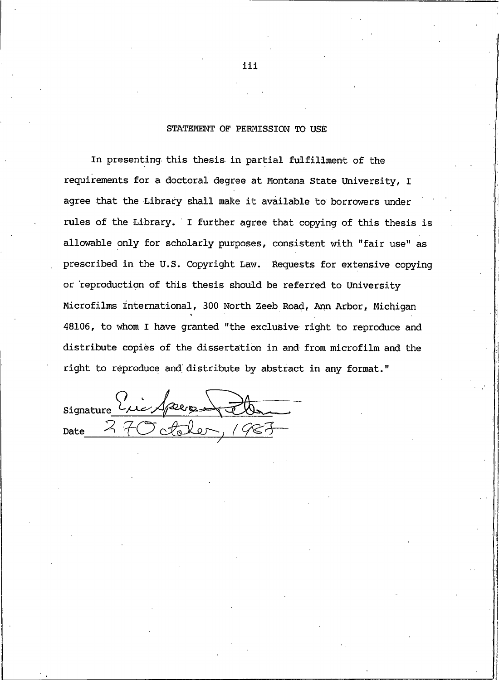#### STATEMENT OF PERMISSION TO USE

In presenting this thesis in partial fulfillment of the requirements for a doctoral degree at Montana State University, I agree that the Library shall make it available to borrowers under rules of the Library. I further agree that copying of this thesis is allowable only for scholarly purposes, consistent with "fair use" as prescribed in the U.S. Copyright Law. Requests for extensive copying or reproduction of this thesis should be referred to University Microfilms International, 300 North Zeeb Road, Ann Arbor, Michigan 48106, to whom I have granted "the exclusive right to reproduce and distribute copies of the dissertation in and from microfilm and the right to reproduce and distribute by abstract in any format."

signature Eric Species 26. 270 Aleler Date

111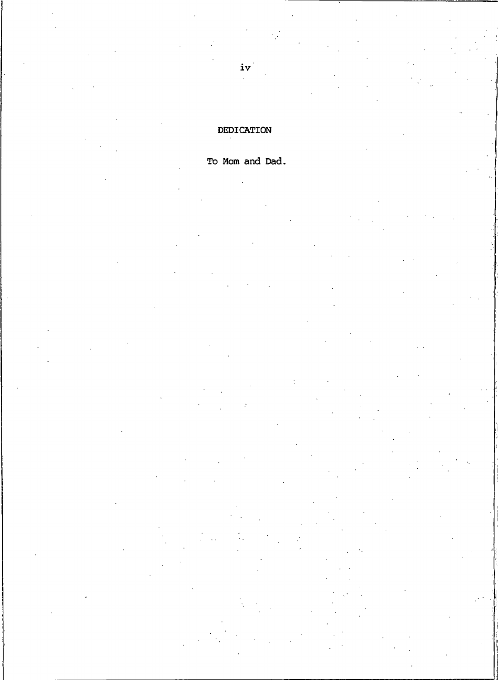### DEDICATION

### To Mom and Dad.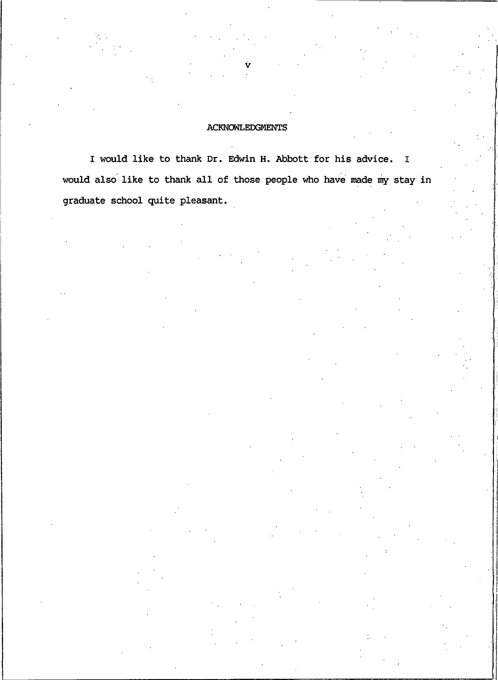#### **ACKNOWLEDGMENTS**

I would like to thank Dr. Edwin H. Abbott for his advice. I would also like to thank all of those people who have made my stay in graduate school quite pleasant.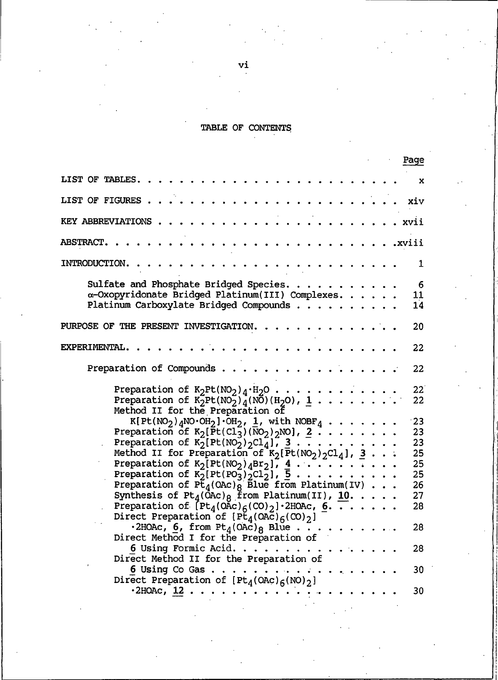#### TABLE OF

| Page                                                                                                  |   |
|-------------------------------------------------------------------------------------------------------|---|
| LIST OF TABLES.                                                                                       | x |
| LIST OF FIGURES.<br>xiv                                                                               |   |
| KEY ABBREVIATIONS<br>xvii                                                                             |   |
| <b>ABSTRACT.</b><br>.xviii                                                                            |   |
| INTRODUCTION.                                                                                         | 1 |
| Sulfate and Phosphate Bridged Species.                                                                | 6 |
| α-Oxopyridonate Bridged Platinum(III) Complexes.<br>11                                                |   |
|                                                                                                       |   |
| Platinum Carboxylate Bridged Compounds<br>14                                                          |   |
| PURPOSE OF THE PRESENT INVESTIGATION.<br>20                                                           |   |
| EXPERIMENTAL.<br>22                                                                                   |   |
| Preparation of Compounds.<br>22                                                                       |   |
| Preparation of $K_2Pt(NO_2)_4·H_2O \cdot \cdot \cdot \cdot \cdot$ .<br>$22^{\degree}$                 |   |
| Preparation of $K_2^0Pt(NO_2)_{\underline{d}}(NO)(H_2O)$ , 1<br>22                                    |   |
| Method II for the Preparation of                                                                      |   |
| $K[Pt(NO_2)_{4}NO·OH_2]·OH_2$ , 1, with NOBF <sub>4</sub><br>23                                       |   |
| Preparation of $K_2[\overline{P}t(Cl_3)(NO_2)_{2}NO]$ , $2 \cdot \cdot \cdot \cdot \cdot \cdot$<br>23 |   |
| Preparation of $K_2[Pt(NO_2)/2Cl_4]$ , $3 \cdot \cdot \cdot \cdot \cdot \cdot \cdot$<br>23            |   |
| Method II for Preparation of $K_2$ [Pt(NO <sub>2</sub> ) <sub>2</sub> Cl <sub>4</sub> ], 3<br>25      |   |
| 25                                                                                                    |   |
|                                                                                                       |   |
| 25                                                                                                    |   |
| Preparation of $P\bar{t}_4(0AC)$ Blue from Platinum(IV)<br>26                                         |   |
| Synthesis of $Pt_4(\bar{OAC})_8$ from Platinum(II), 10.<br>27                                         |   |
| Preparation of $[Pt_4(0AC)_{6}(CO)_2]$ 2HOAc, 6.<br>28                                                |   |
| Direct Preparation of $[Pt_4(OAc)_{6}(CO)_2]$                                                         |   |
| .2HOAc, 6, from $Pt_4$ (OAc) <sub>8</sub> Blue<br>28                                                  |   |
| Direct Method I for the Preparation of                                                                |   |
| 6 Using Formic Acid. $\ldots$<br>28                                                                   |   |
| Direct Method II for the Preparation of                                                               |   |
| .<br>6 Using Co Gas $\ldots$<br>30                                                                    |   |
| Direct Preparation of $[Pt_4(OAc)_6(NO)_2]$                                                           |   |
| $-2$ HOAC, $12$<br>30                                                                                 |   |

vi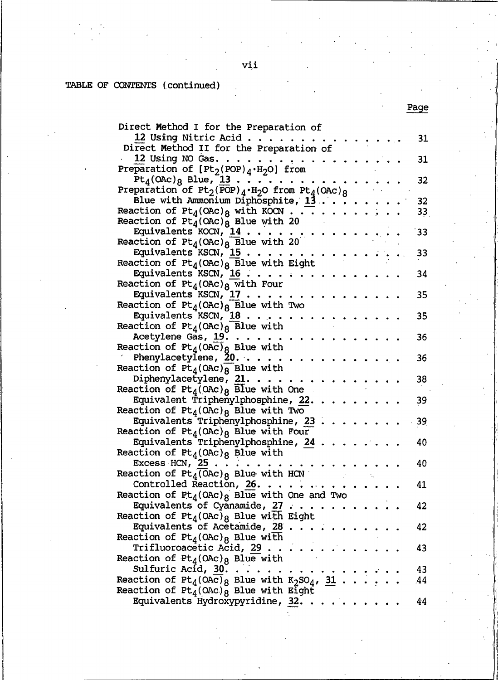#### TABLE OF CONTENT

| Direct Method I for the Preparation of                                                    |    |
|-------------------------------------------------------------------------------------------|----|
| 12 Using Nitric Acid                                                                      | 31 |
| Direct Method II for the Preparation of                                                   |    |
| 12 Using NO Gas. $\ldots$                                                                 | 31 |
| Preparation of $[Pt_2(POP)_4 \cdot H_2 O]$ from                                           |    |
| $Pt_4$ (OAc) <sub>8</sub> Blue, 13                                                        | 32 |
| Preparation of $Pt_2$ (POP) <sub>4</sub> ·H <sub>2</sub> O from $Pt_4$ (OAc) <sub>8</sub> |    |
| Blue with Ammonium Diphosphite, 13                                                        | 32 |
| Reaction of $Pt_4(OAC)_8$ with KOCN                                                       | 33 |
| Reaction of $Pt_4(OAC)_8$ Blue with 20                                                    |    |
| Equivalents $KOCN$ , $14$                                                                 | 33 |
| Reaction of $Pt_4(0AC)_8$ Blue with 20                                                    |    |
| Equivalents $KSCN$ , $15$                                                                 | 33 |
| Reaction of $Pt_4($ OAc) <sub>8</sub> Blue with Eight                                     |    |
| Equivalents KSCN, 16                                                                      | 34 |
| Reaction of $Pt_4(0AC)$ <sub>8</sub> with Four                                            |    |
| Equivalents KSCN, $17 \cdot \cdot \cdot$                                                  | 35 |
| Reaction of $Pt_4( OAC)_{8}$ Blue with Two                                                |    |
| Equivalents KSCN, $\frac{18}{1}$                                                          | 35 |
| Reaction of $Pt_4($ 0AC) <sub>8</sub> Blue with                                           |    |
| Acetylene Gas, 19.                                                                        | 36 |
| Reaction of $Pt_4($ OAc) <sub>8</sub> Blue with                                           |    |
| Phenylacetylene, $20.$                                                                    | 36 |
|                                                                                           |    |
| Reaction of $Pt_4($ OAC) $\sqrt{8}$ Blue with<br>Diphenylacetylene, 21.                   | 38 |
| Reaction of $Pt_4($ OAc) <sub>8</sub> Blue with One                                       |    |
| Equivalent Triphenylphosphine, 22.                                                        | 39 |
| Reaction of $Pt_4($ OAc) <sub>8</sub> Blue with Two                                       |    |
| Equivalents Triphenylphosphine, 23                                                        | 39 |
| Reaction of $Pt_4(0AC)_8$ Blue with Four                                                  |    |
| Equivalents Triphenylphosphine, 24                                                        | 40 |
| Reaction of $Pt_4(0AC)_8$ Blue with                                                       |    |
| Excess HCN, $25$                                                                          | 40 |
| Reaction of $Pt_4(\overline{O}AC)_8$ Blue with HCN                                        |    |
| Controlled Reaction, $26.$                                                                | 41 |
| Reaction of $Pt_4(0Ac)_8$ Blue with One and Two                                           |    |
| Equivalents of Cyanamide, 27                                                              | 42 |
| Reaction of $Pt_4( OAC)_8$ Blue with Eight                                                |    |
| Equivalents of Acetamide, 28.                                                             | 42 |
| Reaction of $Pt_4(ORc)_8$ Blue with                                                       |    |
| Trifluoroacetic Acid, 29.                                                                 | 43 |
| Reaction of $Pt_4(OAC)_8$ Blue with                                                       |    |
| Sulfuric Acid, 30. .                                                                      | 43 |
| Reaction of $Pt_4(OA\overline{c})_8$ Blue with $K_2SO_4$ , 31                             | 44 |
| Reaction of $Pt_4(0AC)_8$ Blue with Eight                                                 |    |
| Equivalents Hydroxypyridine, 32.                                                          | 44 |
|                                                                                           |    |

Page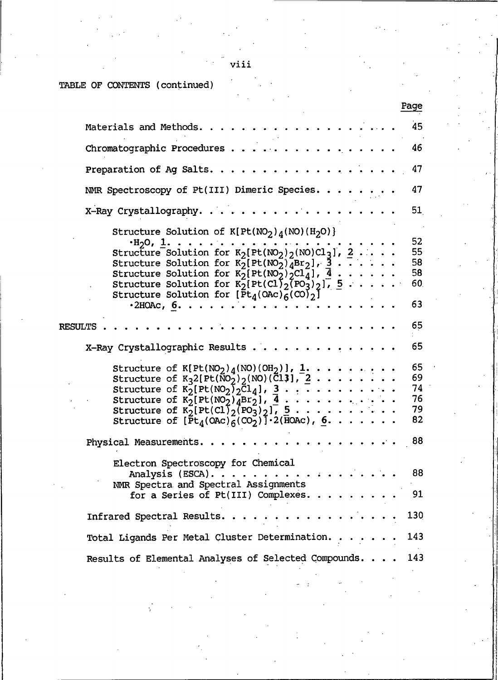TABLE OF CONTENT

| Page                                                                                                                                                                                                                                                                                                      |                                  |
|-----------------------------------------------------------------------------------------------------------------------------------------------------------------------------------------------------------------------------------------------------------------------------------------------------------|----------------------------------|
| Materials and Methods.                                                                                                                                                                                                                                                                                    | 45                               |
| Chromatographic Procedures                                                                                                                                                                                                                                                                                | 46                               |
| Preparation of Ag Salts                                                                                                                                                                                                                                                                                   | 47                               |
| NMR Spectroscopy of Pt(III) Dimeric Species.                                                                                                                                                                                                                                                              | 47                               |
| .<br>X-Ray Crystallography                                                                                                                                                                                                                                                                                | 51                               |
| Structure Solution of $K[Pt(MO2)d(NO)(H2O)]$<br>Structure Solution for $K_2[Pt(NO_2)]_4Br_2$ , $\frac{3}{2}$<br>Structure Solution for $K_2[Pt(NO_2)/2Cl_4]$ , $\overline{4}$<br>Structure Solution for $K_2[Pt(Cl)_2[FO_3]_2]$ , $5 \ldots$ .<br>Structure Solution for $[\bar{P}t_4(0Ac)\bar{6}(CO)_2]$ | 52<br>55<br>58<br>58<br>60       |
| $\cdot$ 2HOAc, 6.                                                                                                                                                                                                                                                                                         | 63                               |
| <b>RESULTS</b>                                                                                                                                                                                                                                                                                            | 65                               |
| X-Ray Crystallographic Results                                                                                                                                                                                                                                                                            | 65                               |
| Structure of $K[Pt(NO_2)_4(NO)(OH_2)], 1, , ,$<br>Structure of $K_32[Pt(NO_2)_2(NO)(Cl_3)], 2$<br>Structure of $K_2[Pt(NO_2)_2Cl_4], 3$<br>Structure of $K_2[Pt(NO_2)_4Br_2], \underline{4}$<br>Structure of $K_2[Pt(NO_2)_4Br_2], \underline{5}$<br>Structure of $K_2[Pt(Cl)_2(PO_3)_2], 5$              | 65<br>69<br>74<br>76<br>79<br>82 |
| Physical Measurements.                                                                                                                                                                                                                                                                                    | 88                               |
| Electron Spectroscopy for Chemical<br>Analysis (ESCA).<br>$\sim$ $\sim$ $\sim$ $\sim$ $\sim$<br>NMR Spectra and Spectral Assignments<br>for a Series of Pt(III) Complexes.                                                                                                                                | 88<br>91                         |
| Infrared Spectral Results. $\ldots$ .<br>130                                                                                                                                                                                                                                                              |                                  |
| Total Ligands Per Metal Cluster Determination<br>143                                                                                                                                                                                                                                                      |                                  |
| Results of Elemental Analyses of Selected Compounds.<br>143                                                                                                                                                                                                                                               |                                  |

viii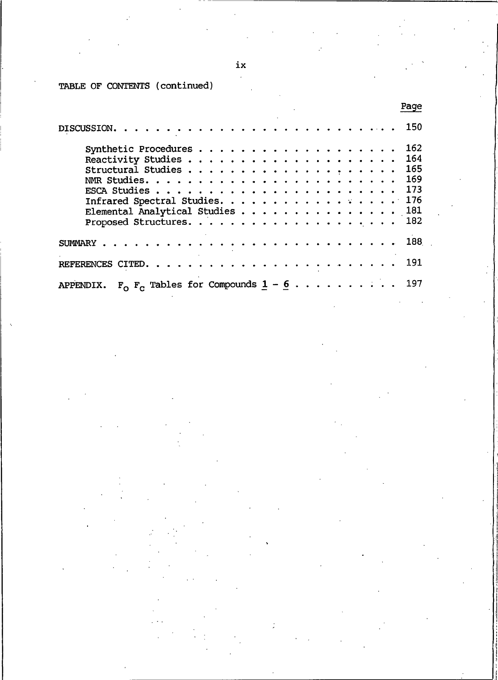ix

TABLE OF CONTENT

|                                              | Page  |
|----------------------------------------------|-------|
|                                              | 150   |
|                                              | 162   |
|                                              | 164   |
|                                              | 165   |
|                                              | 169   |
|                                              | - 173 |
| Infrared Spectral Studies. 176               |       |
| Elemental Analytical Studies 181             |       |
|                                              |       |
|                                              | 188   |
|                                              | 191   |
| $F_0$ $F_C$ Tables for Compounds $1 - 6$ 197 |       |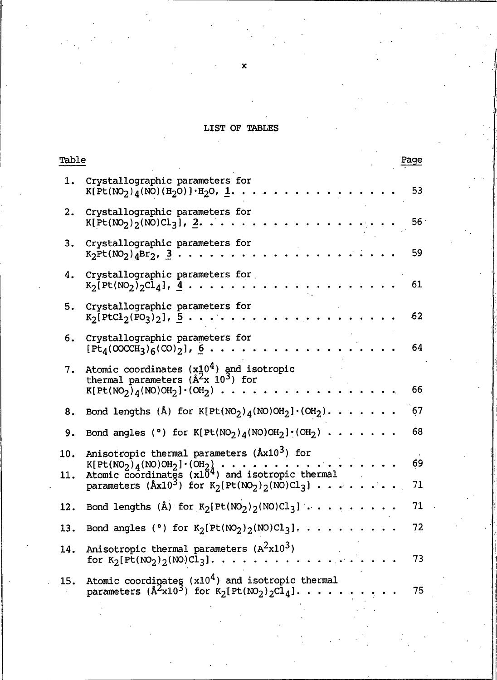#### LIST OI

| Table      |                                                                                                                                  |  | Page |
|------------|----------------------------------------------------------------------------------------------------------------------------------|--|------|
| 1.         | Crystallographic parameters for<br>$K[Pt(NO2)4(NO)(H2O)]·H2O, 1.$                                                                |  | 53   |
| 2.         | Crystallographic parameters for<br>$K[Pt(NO2)2(NO)Cl3], 2.$                                                                      |  | 56   |
| 3.         | Crystallographic parameters for<br>$K_2Pt(NO_2)_{4Br_2, 3}$ .                                                                    |  | 59   |
| 4.         | Crystallographic parameters for<br>$K_2[Pt(NO_2)_{2}Cl_4], 4$                                                                    |  | 61   |
| 5.         | Crystallographic parameters for<br>$K_2[PLCl_2(PO_3)_2], 5$                                                                      |  | 62   |
| 6.         | Crystallographic parameters for<br>$[Pt_4(OCCH_3)_6(CO)_2], 6.$                                                                  |  | 64   |
| 7.         | Atomic coordinates $(x10^4)$ and isotropic<br>thermal parameters ( $\AA^2$ x 10 <sup>3</sup> ) for<br>$K[Pt(NO2)4(NO)OH2] (OH2)$ |  | 66   |
| 8.         | Bond lengths (Å) for $K[Pt(NO_2)_4(NO)OH_2] \cdot (OH_2)$ .                                                                      |  | 67   |
| 9.         | Bond angles (°) for $K[Pt(NO_2)_4(NO)OH_2] \cdot (OH_2)$ .                                                                       |  | 68   |
| 10.<br>11. | Anisotropic thermal parameters (Åx10 <sup>3</sup> ) for                                                                          |  | 69   |
|            | parameters ( $\text{\AA}x10^3$ ) for $\text{K}_2[\text{Pt}(\text{NO}_2)_2(\text{NO})\text{Cl}_3]$                                |  | 71   |
| 12.        | Bond lengths (Å) for $K_2[Pt(MO_2)_2(NO)Cl_3] \cdot \cdot \cdot \cdot$ .                                                         |  | 71   |
| 13.        | Bond angles ( $^{\circ}$ ) for K <sub>2</sub> [Pt(NO <sub>2</sub> ) <sub>2</sub> (NO)Cl <sub>3</sub> ].                          |  | 72   |
| 14.        | Anisotropic thermal parameters $(A^2x10^3)$<br>for $K_2[Pt(NO_2)_{2}(NO)Cl_3]$ .                                                 |  | 73   |
| 15.        | Atomic coordinates $(x10^4)$ and isotropic thermal<br>parameters ( $\hat{A}^2 \times 10^3$ ) for $K_2[Pt(NO_2)_2Cl_4]$           |  | 75   |

 $\mathbf{x}$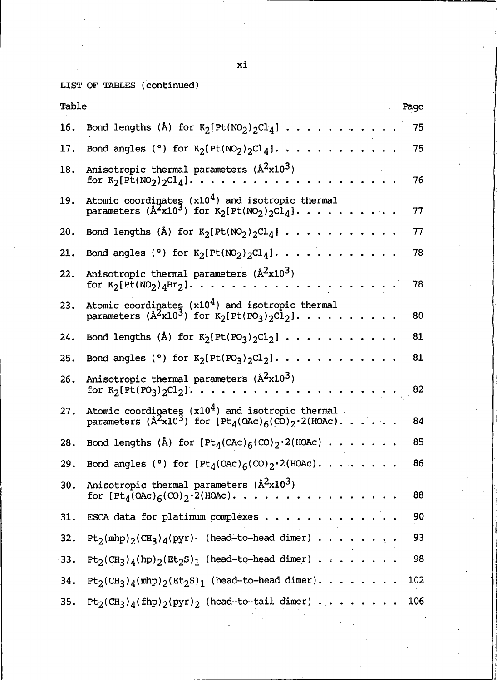LIST OF TABLES

| Table  | Page                                                                                                                                                                             |  |
|--------|----------------------------------------------------------------------------------------------------------------------------------------------------------------------------------|--|
| 16.    | Bond lengths (Å) for $K_2[Pt(NO_2)_{2}Cl_4] \ldots$<br>75                                                                                                                        |  |
| 17.    | Bond angles (°) for $K_2[Pt(NO_2)_2Cl_4]$ .<br>75<br>.                                                                                                                           |  |
| 18.    | Anisotropic thermal parameters $(\text{Å}^2 \text{x} 10^3)$<br>for $K_2[Pt(MO_2)_2Cl_4]$ .<br>76                                                                                 |  |
| 19.    | Atomic coordinates $(x10^4)$ and isotropic thermal<br>parameters ( $\hat{A}^2 \times 10^3$ ) for $K_2[Pt(NO_2)_2C\bar{l}_4]$ .<br>77                                             |  |
| 20.    | Bond lengths (Å) for $K_2[Pt(NO_2)_2Cl_4]$<br>77                                                                                                                                 |  |
| 21.    | Bond angles (°) for $K_2[Pt(NO_2)_2Cl_4]$ .<br>78                                                                                                                                |  |
| 22.    | Anisotropic thermal parameters $(\mathbb{A}^2 \times 10^3)$<br>78<br>for $K_2[Pt(NO_2)_4Br_2]$                                                                                   |  |
| 23.    | Atomic coordinates $(x10^4)$ and isotropic thermal<br>parameters ( $\mathring{A}^2 \times 10^3$ ) for $K_2[Pt(PO_3)_2Cl_2]$<br>.<br>80                                           |  |
| 24.    | Bond lengths (Å) for $K_2[Pt(PO_3)_2Cl_2]$<br>81                                                                                                                                 |  |
| 25.    | Bond angles (°) for $K_2[Pt(PO_3)_2Cl_2]$ .<br>81                                                                                                                                |  |
| 26.    | Anisotropic thermal parameters $(\mathbb{A}^2 \times 10^3)$<br>for $K_2[Pt(PO_3)2Cl_2].$<br>82<br>.                                                                              |  |
| 27.    | Atomic coordinates $(x10^4)$ and isotropic thermal<br>parameters $(\mathbb{A}^2 \times 10^3)$ for $[Pt_4(OAC)_{6}(CO)_2 \cdot 2(HOAC) \cdot \cdot \cdot \cdot \cdot \cdot$<br>84 |  |
| 28.    | Bond lengths (Å) for $[Pt_4(OAc)_6(C0)_2 \cdot 2(HOAc) \cdot \cdot \cdot \cdot \cdot \cdot \cdot$<br>85                                                                          |  |
| 29.    | Bond angles (°) for $[Pt_4(OAc)_6(CO)_2 \cdot 2(HOAc) \cdot \cdot \cdot \cdot \cdot \cdot \cdot \cdot \cdot$<br>86                                                               |  |
| 30.    | Anisotropic thermal parameters (Å <sup>2</sup> x10 <sup>3</sup> )<br>88<br>for $[Pt_4(0AC)_6(CO)_2 \cdot 2(HOAC)$                                                                |  |
| 31.    | 90<br>ESCA data for platinum complexes                                                                                                                                           |  |
| 32.    | 93<br>$Pt_2(mhp)_2(CH_3)_4(pyr)_1$ (head-to-head dimer)                                                                                                                          |  |
| $-33.$ | $Pt_2(CH_3)_4(hp)_2(Et_2S)_1$ (head-to-head dimer)<br>98                                                                                                                         |  |
| 34.    | $Pt_2(CH_3)_4(mhp)_2(Et_2S)_1$ (head-to-head dimer).<br>102                                                                                                                      |  |
| 35.    | $Pt_2(CH_3)_4(fhp)_2(pyr)_2$ (head-to-tail dimer)<br>106                                                                                                                         |  |

xi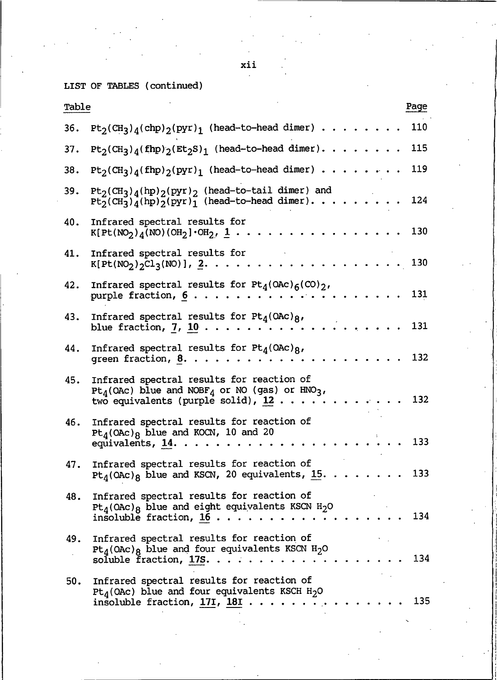xii

LIST OF TABLES

| Table |                                                                                                                                                                                    | Page |
|-------|------------------------------------------------------------------------------------------------------------------------------------------------------------------------------------|------|
| 36.   | $Pt_2(CH_3)_4(chp)_2(pyr)_1$ (head-to-head dimer).                                                                                                                                 | 110  |
| 37.   | $Pt_2(CH_3)_4(Hpp)_2(Et_2S)_1$ (head-to-head dimer).                                                                                                                               | 115  |
| 38.   | $Pt_2(CH_3)_4(fhp)_2(pyr)_1$ (head-to-head dimer)                                                                                                                                  | 119  |
| 39.   | $Pt_2(CH_3)_4(hp)_2(pyr)_2$ (head-to-tail dimer) and<br>$Pt_2^-(CH_3^3)_4^-(hp)_2^-(pyr)_1^-(head-to-head dimer) \cdot \cdot \cdot \cdot \cdot$                                    | 124  |
| 40.   | Infrared spectral results for<br>$K[Pt(NO2)A(NO)(OH2]\cdot OH2, 1.$                                                                                                                | 130  |
| 41.   | Infrared spectral results for<br>$K[Pt(NO_2)_{2}Cl_3(NO)], 2.$                                                                                                                     | 130  |
| 42.   | Infrared spectral results for $Pt_4(QAC)_{6}(CO)_2$ ,<br>purple fraction, $6 \ldots \ldots$                                                                                        | 131  |
| 43.   | Infrared spectral results for $Pt_4(ORc)_R$ ,<br>blue fraction, $7, 10$                                                                                                            | 131  |
| 44.   | Infrared spectral results for $Pt_4(OAC)_{R}$ ,<br>green fraction, 8.                                                                                                              | 132  |
| 45.   | Infrared spectral results for reaction of<br>$Pt_4$ (OAc) blue and NOBF <sub>4</sub> or NO (gas) or HNO <sub>3</sub> ,<br>two equivalents (purple solid), $12 \cdot \cdot \cdot$ . | 132  |
| 46.   | Infrared spectral results for reaction of<br>$Pt_4(OAC)_8$ blue and KOCN, 10 and 20<br>equivalents, 14.                                                                            | 133  |
| 47.   | Infrared spectral results for reaction of<br>$Pt_4$ (OAc) <sub>8</sub> blue and KSCN, 20 equivalents, 15.                                                                          | 133  |
| 48.   | Infrared spectral results for reaction of<br>$Pt_4$ (OAc) <sub>8</sub> blue and eight equivalents KSCN H <sub>2</sub> O<br>insoluble fraction, 16.                                 | 134  |
| 49.   | Infrared spectral results for reaction of<br>$Pt_4(OAC)_8$ blue and four equivalents KSCN H <sub>2</sub> O<br>soluble fraction, 17S                                                | 134  |
| 50.   | Infrared spectral results for reaction of<br>$Pt_4$ (OAc) blue and four equivalents KSCH H <sub>2</sub> O<br>insoluble fraction, $17I$ , $18I$                                     | 135  |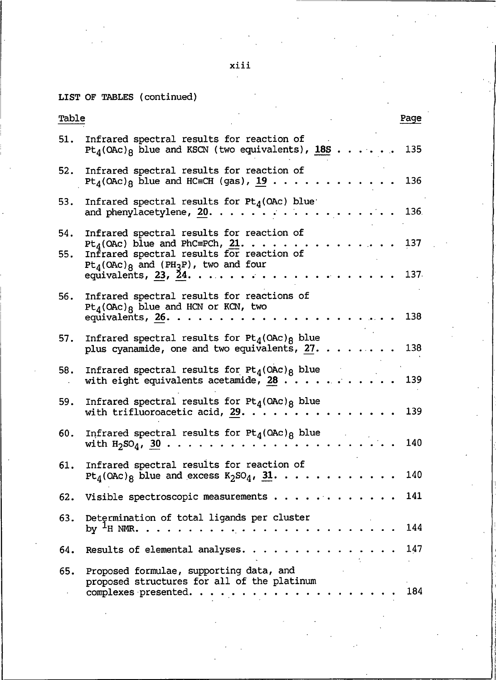xiii

LIST OF TABLES

| Table      |                                                                                                                                                                                                                 | Page        |
|------------|-----------------------------------------------------------------------------------------------------------------------------------------------------------------------------------------------------------------|-------------|
| 51.        | Infrared spectral results for reaction of<br>$Pt_{d}(\text{OAC})_{8}$ blue and KSCN (two equivalents), 18S                                                                                                      | 135         |
| 52.        | Infrared spectral results for reaction of<br>Pt <sub>4</sub> (OAc) <sub>8</sub> blue and HC=CH (gas), 19                                                                                                        | 136         |
| 53.        | Infrared spectral results for $Pt_4$ (OAc) blue<br>and phenylacetylene, 20.                                                                                                                                     | 136         |
| 54.<br>55. | Infrared spectral results for reaction of<br>$Pt_A(OAC)$ blue and PhC=PCh, 21.<br>Infrared spectral results for reaction of<br>$Pt_4(OAC)_8$ and $(PH_3P)$ , two and four<br>equivalents, 23, $\overline{24}$ . | 137<br>137. |
| 56.        | Infrared spectral results for reactions of<br>$Pt_4(OAC)_8$ blue and HCN or KCN, two<br>equivalents, $26.$                                                                                                      | 138         |
| 57.        | Infrared spectral results for $Pt_4(ORc)_8$ blue<br>plus cyanamide, one and two equivalents, 27.                                                                                                                | 138         |
| 58.        | Infrared spectral results for $Pt_{d}(\text{OAC})_{R}$ blue<br>with eight equivalents acetamide, $28$                                                                                                           | 139         |
| 59.        | Infrared spectral results for $Pt_4(ORc)_8$ blue<br>with trifluoroacetic acid, $29.$                                                                                                                            | 139         |
| 60.        | Infrared spectral results for $Pt_4(ORc)_8$ blue<br>with $H_2SO_4$ , 30                                                                                                                                         | 140         |
| 61.        | Infrared spectral results for reaction of<br>$Pt_4(OAC)_8$ blue and excess $K_2SO_4$ , 31.                                                                                                                      | 140         |
| 62.        | Visible spectroscopic measurements                                                                                                                                                                              | 141         |
| 63.        | Determination of total ligands per cluster<br>by $H$ NMR<br>$\cdot \cdot \cdot$                                                                                                                                 | 144         |
| 64.        | Results of elemental analyses.                                                                                                                                                                                  | 147         |
| 65.        | Proposed formulae, supporting data, and<br>proposed structures for all of the platinum<br>complexes presented.                                                                                                  | 184         |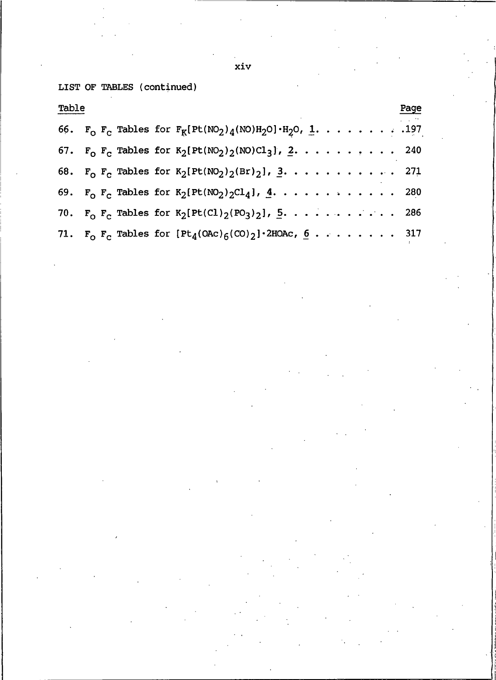xiv

LIST OF TABLES

| Table |  |                                                                                | Page |
|-------|--|--------------------------------------------------------------------------------|------|
|       |  | 66. $F_0$ $F_C$ Tables for $F_K[Pt(NO_2)_{4}(NO)H_2O] \cdot H_2O$ , 1. 197     |      |
|       |  | 67. $F_0$ $F_c$ Tables for $K_2[Pt(NO_2)_2(NO)Cl_3]$ , 2. 240                  |      |
|       |  | 68. $F_0$ $F_c$ Tables for $K_2[Pt(NO_2)_2(Br)_2]$ , 3. 271                    |      |
|       |  | 69. $F_0$ $F_c$ Tables for $K_2[Pt(NO_2)_2Cl_4]$ , $\stackrel{1}{\leq}$ .  280 |      |
|       |  | 70. $F_0$ $F_C$ Tables for $K_2[Pt(Cl)_2(PO_3)_2]$ , $\underline{5}$ . 286     |      |
|       |  | 71. $F_0$ $F_c$ Tables for $[Pt_4(ORc)_{6}(CO)_2]$ 2HOAc, $6$ 317              |      |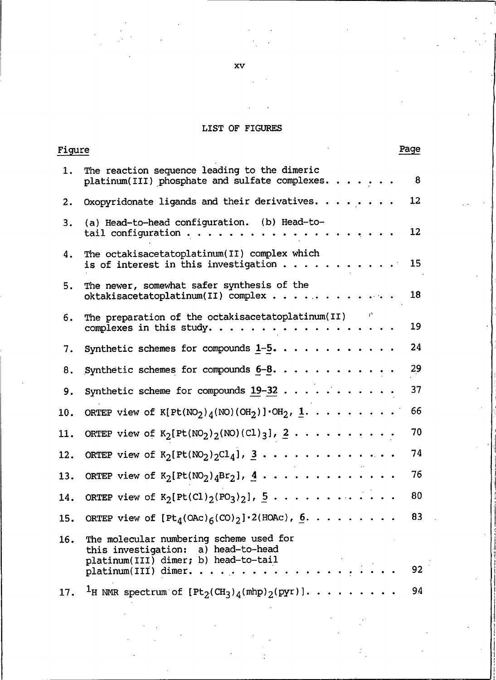#### **LIST OF**

| <u>Figure</u> |                                                                                                                                                  | Page |
|---------------|--------------------------------------------------------------------------------------------------------------------------------------------------|------|
| 1.            | The reaction sequence leading to the dimeric<br>platinum(III) phosphate and sulfate complexes.                                                   | 8    |
| 2.            | Oxopyridonate ligands and their derivatives. $\cdots$                                                                                            | 12   |
| 3.            | (a) Head-to-head configuration. (b) Head-to-<br>tail configuration                                                                               | 12   |
| 4.            | The octakisacetatoplatinum(II) complex which<br>is of interest in this investigation $\ldots$ .                                                  | 15   |
| 5.            | The newer, somewhat safer synthesis of the<br>oktakisacetatoplatinum(II) complex                                                                 | 18   |
| 6.            | The preparation of the octakisacetatoplatinum(II)<br>complexes in this study.                                                                    | 19   |
| 7.            | Synthetic schemes for compounds $1-5$                                                                                                            | 24   |
| 8.            | Synthetic schemes for compounds $6-8.$                                                                                                           | 29   |
| 9.            | Synthetic scheme for compounds $19-32$                                                                                                           | 37   |
| 10.           | ORTEP view of $K[Pt(NO_2)_4(NO)(OH_2)] \cdot OH_2$ , 1.                                                                                          | 66   |
| 11.           | ORTEP view of $K_2[Pt(NO_2)_2(NO)(Cl)_3], 2 \ldots $                                                                                             | 70   |
| 12.           | ORTEP view of $K_2[Pt(NO_2)_2Cl_4]$ , $\overline{3}$                                                                                             | 74   |
| 13.           | ORTEP view of $K_2[Pt(MO_2)_4Br_2], \underline{4} \cdot \cdot \cdot \cdot \cdot \cdot \cdot \cdot \cdot \cdot \cdot$                             | 76   |
| 14.           | ORTEP view of $K_2[Pt(Cl)_2(PO_3)_2]$ , $\overline{5}$                                                                                           | 80   |
| 15.           | ORTEP view of $[Pt_4(OAc)6(CO)2]\cdot 2(HOAc)$ , 6.                                                                                              | 83   |
| 16.           | The molecular numbering scheme used for<br>this investigation: a) head-to-head<br>platinum(III) dimer; b) head-to-tail<br>$platinum(III)$ dimer. | 92   |
| 17.           | <sup>1</sup> H NMR spectrum of $[Pt_2(CH_3)_4(\text{mlp})_2(\text{pyr})]$                                                                        | 94   |

xv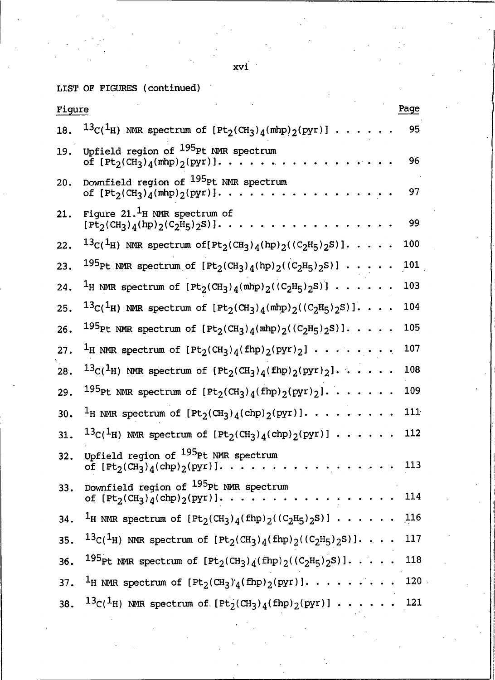$xvi$ 

LIST OF FIGURES (continued)

| Figure |                                                                                                                                                                   | Page |
|--------|-------------------------------------------------------------------------------------------------------------------------------------------------------------------|------|
| 18.    | $^{13}$ C( <sup>1</sup> H) NMR spectrum of [Pt <sub>2</sub> (CH <sub>3</sub> ) <sub>4</sub> (mhp) <sub>2</sub> (pyr)].                                            | 95   |
| 19.    | Upfield region of <sup>195</sup> Pt NMR spectrum<br>of $[Pt_2(CH_3)_4(mhp)_2(pyr)].$                                                                              | 96   |
| 20.    | Downfield region of <sup>195</sup> Pt NMR spectrum<br>of $[Pt_2(CH_3)_4(mhp)_2(pyr)]$                                                                             | 97   |
| 21.    | Figure $21.$ <sup>1</sup> H NMR spectrum of<br>$[Pt_2(CH_3)_4(hp)_2(C_2H_5)_2S]$ .                                                                                | 99   |
| 22.    | $^{13}$ C( $^{1}$ H) NMR spectrum of[Pt <sub>2</sub> (CH <sub>3</sub> ) <sub>4</sub> (hp) <sub>2</sub> ((C <sub>2</sub> H <sub>5</sub> ) <sub>2</sub> S)]         | 100  |
| 23.    | <sup>195</sup> Pt NMR spectrum of $[Pt_2(CH_3)_4(hp)_2((C_2H_5)_2S)] \cdot$ .                                                                                     | 101  |
| 24.    | <sup>1</sup> H NMR spectrum of $[Pt_2(CH_3)_4(mhp)_2((C_2H_5)_2S)] \cdot \cdot \cdot$                                                                             | 103  |
| 25.    | $^{13}$ C( <sup>1</sup> H) NMR spectrum of [Pt <sub>2</sub> (CH <sub>3</sub> ) <sub>4</sub> (mhp) <sub>2</sub> ((C <sub>2</sub> H <sub>5</sub> ) <sub>2</sub> S)] | 104  |
| 26.    | $^{195}$ Pt NMR spectrum of [Pt <sub>2</sub> (CH <sub>3</sub> ) <sub>4</sub> (mhp) <sub>2</sub> ((C <sub>2</sub> H <sub>5</sub> ) <sub>2</sub> S)]                | 105  |
| 27.    | <sup>1</sup> H NMR spectrum of $[Pt_2(CH_3)_4(fhp)_2(pyr)_2] \cdot \cdot \cdot \cdot \cdot \cdot \cdot$                                                           | 107  |
| 28.    | $^{13}$ C( <sup>1</sup> H) NMR spectrum of $[Pt_2(CH_3)_4(fhp)_2(pyr)_2]$                                                                                         | 108  |
| 29.    | 195pt NMR spectrum of $[Pt_2(CH_3)_4(fhp)_2(pyr)_2]$                                                                                                              | 109  |
| 30.    | <sup>1</sup> H NMR spectrum of $[Pt_2(CH_3)_4(chp)_2(pyr)]$                                                                                                       | 111  |
| 31.    | $^{13}$ C( <sup>1</sup> H) NMR spectrum of [Pt <sub>2</sub> (CH <sub>3</sub> ) <sub>4</sub> (chp) <sub>2</sub> (pyr)]                                             | 112  |
| 32.    | Upfield region of <sup>195</sup> Pt NMR spectrum<br>of $[Pt_2(CH_3)_4(chp)_2(pyr)]$ .                                                                             | 113  |
| 33.    | Downfield region of <sup>195</sup> Pt NMR spectrum<br>of $[Pt_2(CH_3)_4(chp)_2(pyr)]$                                                                             | 114  |
| 34.    | <sup>1</sup> H NMR spectrum of $[Pt_2(CH_3)_4(fhp)_2((C_2H_5)_2S)] \cdot \cdot \cdot \cdot \cdot 116$                                                             |      |
| 35.    | $^{13}C(^{1}H)$ NMR spectrum of $[Pt_2(CH_3)_4(fhp)_2((C_2H_5)_2S)]$ 117                                                                                          |      |
| 36.    | <sup>195</sup> Pt NMR spectrum of $[Pt_2(CH_3)_4(fhp)_2((C_2H_5)_2S)]$ 118                                                                                        |      |
| 37.    | <sup>1</sup> H NMR spectrum of $[Pt_2(CH_3)_4(fhp)_2(pyr)]$ 120                                                                                                   |      |
| 38.    | $^{13}C(^{1}H)$ NMR spectrum of $[Pt_2(CH_3)_4(fhp)_2(pyr)] \cdot \cdot \cdot \cdot \cdot 121$                                                                    |      |

- -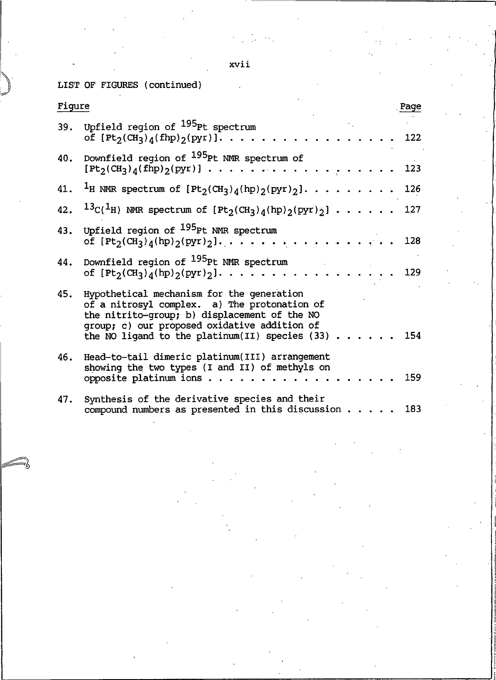xvii

LIST OF FIGURES

| Figure |                                                                                                                                                                                                                                              | Page |
|--------|----------------------------------------------------------------------------------------------------------------------------------------------------------------------------------------------------------------------------------------------|------|
|        | 39. Upfield region of <sup>195</sup> Pt spectrum<br>of $[Pt_2(CH_3)_4(fhp)_2(pyr)]. \ldots \ldots \ldots$                                                                                                                                    | 122  |
|        | 40. Downfield region of <sup>195</sup> Pt NMR spectrum of<br>$[Pt_2(CH_3)_4(fhp)_2(pyr)] \cdot \cdot \cdot \cdot \cdot \cdot \cdot \cdot \cdot \cdot \cdot \cdot$<br>$\cdots$ $123$                                                          |      |
|        | 41. <sup>1</sup> H NMR spectrum of $[Pt_2(CH_3)_4(hp)_2(pyr)_2]$ 126                                                                                                                                                                         |      |
|        | 42. ${}^{13}C(^{1}H)$ NMR spectrum of $[Pt_2(CH_3)_4(hp)_2(pyr)_2] \cdot \cdot \cdot \cdot \cdot 127$                                                                                                                                        |      |
|        | 43. Upfield region of <sup>195</sup> Pt NMR spectrum<br>of $[Pt_2(CH_3)_4(hp)_2(pyr)_2].$                                                                                                                                                    | 128  |
| 44.    | Downfield region of <sup>195</sup> Pt NMR spectrum<br>of $[Pt_2(CH_3)_4(hp)_2(pyr)_2]. \ldots \ldots \ldots \ldots \ldots \ldots$                                                                                                            | 129  |
| 45.    | Hypothetical mechanism for the generation<br>of a nitrosyl complex. a) The protonation of<br>the nitrito-group; b) displacement of the NO<br>group; c) our proposed oxidative addition of<br>the NO ligand to the platinum (II) species (33) | 154  |
| 46.    | Head-to-tail dimeric platinum (III) arrangement<br>showing the two types (I and II) of methyls on<br>opposite platinum ions                                                                                                                  | 159  |
| 47.    | Synthesis of the derivative species and their<br>compound numbers as presented in this discussion                                                                                                                                            | 183  |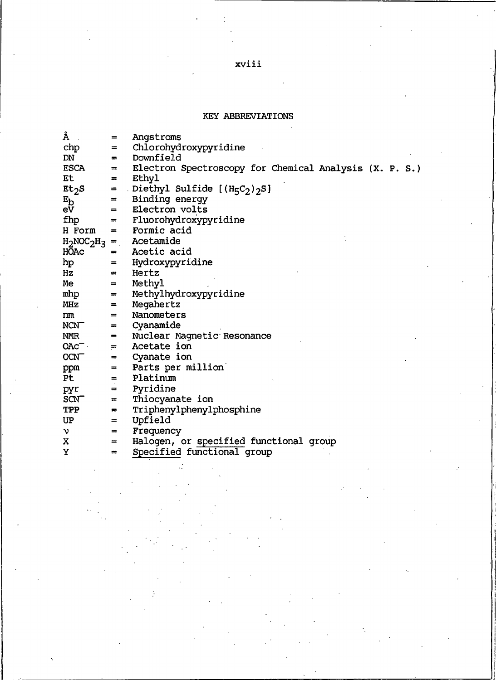### xviii

#### KEY ABBREVIATIONS

| Å                 | $=$      | Angstroms                                              |
|-------------------|----------|--------------------------------------------------------|
| chp               | $=$      | Chlorohydroxypyridine                                  |
| DN                | =        | Downfield                                              |
| ESCA              | $=$      | Electron Spectroscopy for Chemical Analysis (X. P. S.) |
| Et                | $=$      | Ethyl                                                  |
| Et <sub>2</sub> S | $=$      | Diethyl Sulfide $[(H_5C_2)_2S]$                        |
| $E_{\rm D}$       | $=$      | Binding energy                                         |
| eV                | $=$      | Electron volts                                         |
| fhp               | $=$      | Fluorohydroxypyridine                                  |
| H Form            | $=$      | Formic acid                                            |
|                   |          | $H_2NOC_2H_3$ = Acetamide                              |
| <b>HOAC</b>       | $=$      | Acetic acid                                            |
| hp                | =        | Hydroxypyridine                                        |
| Hz                | $=$      | Hertz                                                  |
| Me                | $=$      | Methyl                                                 |
| mhp               | =        | Methylhydroxypyridine                                  |
| MHz               | $=$      | Megahertz                                              |
| nm                | ≕        | Nanometers                                             |
| <b>NCNT</b>       | $=$      | Cyanamide                                              |
| NMR               | $=$      | Nuclear Magnetic Resonance                             |
| OAC               | $=$ $-$  | Acetate ion                                            |
| <b>OCNT</b>       | $\equiv$ | Cyanate ion                                            |
| ppm               | =        | Parts per million                                      |
| Pt                | $=$ $-$  | Platinum                                               |
| pyr               | $=$ $-$  | Pyridine                                               |
| <b>SCNT</b>       | $\equiv$ | Thiocyanate ion                                        |
| TPP               | $=$      | Triphenylphenylphosphine                               |
| UP                | $\equiv$ | Upfield                                                |
| ν                 | $=$      | Frequency                                              |
| x                 | =        | Halogen, or specified functional group                 |
| Y                 | $=$      | Specified functional group                             |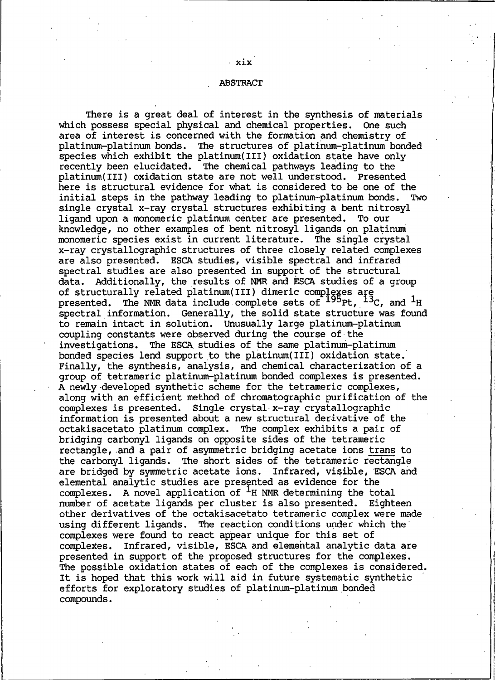#### **ABSTRACT**

There is a great deal of interest in the synthesis of materials which possess special physical and chemical properties. One such area of interest is concerned with the formation and chemistry of platinum-platinum bonds. The structures of platinum-platinum bonded species which exhibit the platinum (III) oxidation state have only recently been elucidated. The chemical pathways leading to the platinum(III) oxidation state are not well understood. Presented here is structural evidence for what is considered to be one of the initial steps in the pathway leading to platinum-platinum bonds. Two single crystal x-ray crystal structures exhibiting a bent nitrosyl ligand upon a monomeric platinum center are presented. To our knowledge, no other examples of bent nitrosyl ligands on platinum monomeric species exist in current literature. The single crystal x-ray crystallographic structures of three closely related complexes are also presented. ESCA studies, visible spectral and infrared spectral studies are also presented in support of the structural data. Additionally, the results of NMR and ESCA studies of a group of structurally related platinum(III) dimeric complexes are<br>presented. The NMR data include complete sets of  $^{195}$ Pt,  $^{13}$ C, and <sup>1</sup>H spectral information. Generally, the solid state structure was found to remain intact in solution. Unusually large platinum-platinum coupling constants were observed during the course of the investigations. The ESCA studies of the same platinum-platinum bonded species lend support to the platinum (III) oxidation state. Finally, the synthesis, analysis, and chemical characterization of a group of tetrameric platinum-platinum bonded complexes is presented. A newly developed synthetic scheme for the tetrameric complexes, along with an efficient method of chromatographic purification of the complexes is presented. Single crystal x-ray crystallographic information is presented about a new structural derivative of the octakisacetato platinum complex. The complex exhibits a pair of bridging carbonyl ligands on opposite sides of the tetrameric rectangle, and a pair of asymmetric bridging acetate ions trans to the carbonyl ligands. The short sides of the tetrameric rectangle are bridged by symmetric acetate ions. Infrared, visible, ESCA and elemental analytic studies are presented as evidence for the complexes. A novel application of  $H$  NMR determining the total number of acetate ligands per cluster is also presented. Eighteen other derivatives of the octakisacetato tetrameric complex were made using different ligands. The reaction conditions under which the complexes were found to react appear unique for this set of complexes. Infrared, visible, ESCA and elemental analytic data are presented in support of the proposed structures for the complexes. The possible oxidation states of each of the complexes is considered. It is hoped that this work will aid in future systematic synthetic efforts for exploratory studies of platinum-platinum bonded compounds.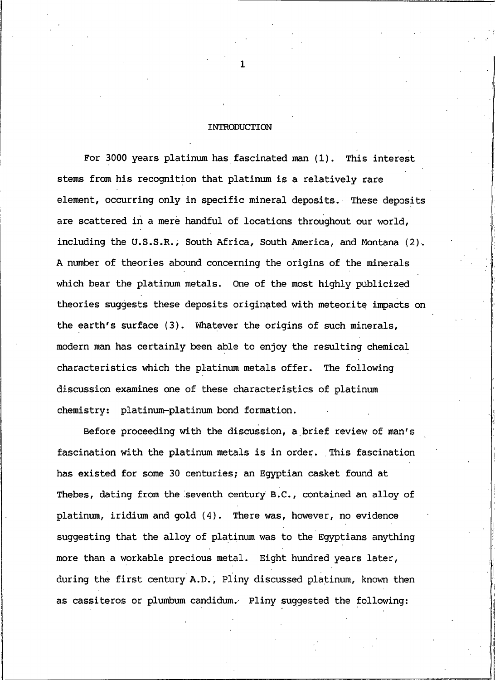#### INTRODUCTION

For 3000 years platinum has fascinated man (1). This interest stems from his recognition that platinum is a relatively rare element, occurring only in specific mineral deposits. These deposits are scattered in a mere handful of locations throughout our world, including the U.S.S.R., South Africa, South America, and Montana (2). A number of theories abound concerning the origins of the minerals which bear the platinum metals. One of the most highly publicized theories suggests these deposits originated with meteorite impacts on the earth's surface (3). Whatever the origins of such minerals, modern man has certainly been able to enjoy the resulting chemical characteristics which the platinum metals offer. The following discussion examines one of these characteristics of platinum chemistry: platinum-platinum bond formation.

Before proceeding with the discussion, a brief review of man's fascination with the platinum metals is in order. This fascination has existed for some 30 centuries; an Egyptian casket found at Thebes, dating from the seventh century B.C., contained an alloy of platinum, iridium and gold (4). There was, however, no evidence suggesting that the alloy of platinum was to the Egyptians anything more than a workable precious metal. Eight hundred years later, during the first century A.D., Pliny discussed platinum, known then as cassiteros or plumbum candidum. Pliny suggested the following:

 $\mathbf{1}$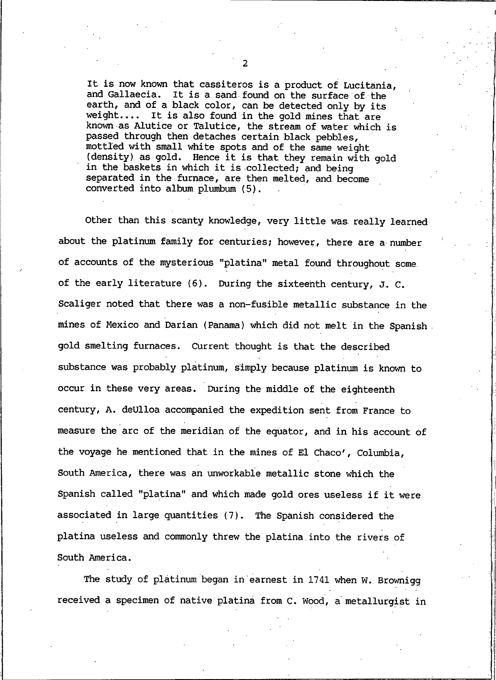It is now known that cassiteros is a product of Lucitania, and Gallaecia. It is a sand found on the surface of the earth, and of a black color, can be detected only by its weight.... It is also found in the gold mines that are known as Alutice or Talutice, the stream of water which is passed through then detaches certain black pebbles, mottled with small white spots and of the same weight (density) as gold. Hence it is that they remain with gold in the baskets in which it is collected; and being separated in the furnace, are then melted, and become converted into album plumbum (5).

Other than this scanty knowledge, very little was really learned about the platinum family for centuries; however, there are a number of accounts of the mysterious "platina" metal found throughout some. of the early literature (6). During the sixteenth century, J. C. Scaliger noted that there was a non-fusible metallic substance in the mines of Mexico and Darian (Panama) which did not melt in the Spanish. gold smelting furnaces. Current thought is that the described substance was probably platinum, simply because platinum is known to occur in these very areas. During the middle of the eighteenth century, A. deUlloa accompanied the expedition sent from France to measure the arc of the meridian of the equator, and in his account of the voyage he mentioned that in the mines of El Chaco', Columbia, South America, there was an unworkable metallic stone which the Spanish called "platina" and which made gold ores useless if it were associated in large quantities (7). The Spanish considered the platina useless and commonly threw the platina into the rivers of South America.

The study of platinum began in earnest in 1741 when W. Brownigg received a specimen of native platina from C. Wood, a metallurgist in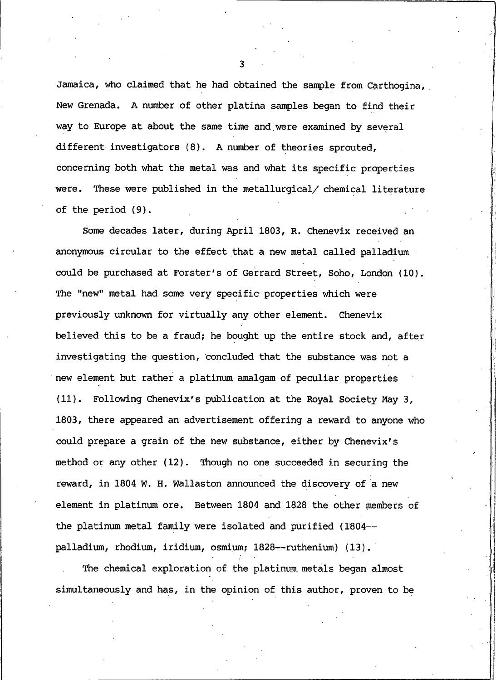Jamaica, who claimed that he had obtained the sample from Carthogina, New Grenada. A number of other platina samples began to find their way to Europe at about the same time and were examined by several different investigators (8). A number of theories sprouted, concerning both what the metal was and what its specific properties were. These were published in the metallurgical/ chemical literature of the period  $(9)$ .

Some decades later, during April 1803, R. Chenevix received an anonymous circular to the effect that a new metal called palladium could be purchased at Forster's of Gerrard Street, Soho, London (10). The "new" metal had some very specific properties which were previously unknown for virtually any other element. Chenevix believed this to be a fraud; he bought up the entire stock and, after investigating the question, concluded that the substance was not a new element but rather a platinum amalgam of peculiar properties Following Chenevix's publication at the Royal Society May 3,  $(11)$ . 1803, there appeared an advertisement offering a reward to anyone who could prepare a grain of the new substance, either by Chenevix's method or any other (12). Though no one succeeded in securing the reward, in 1804 W. H. Wallaston announced the discovery of a new element in platinum ore. Between 1804 and 1828 the other members of the platinum metal family were isolated and purified (1804-palladium, rhodium, iridium, osmium; 1828--ruthenium) (13).

The chemical exploration of the platinum metals began almost simultaneously and has, in the opinion of this author, proven to be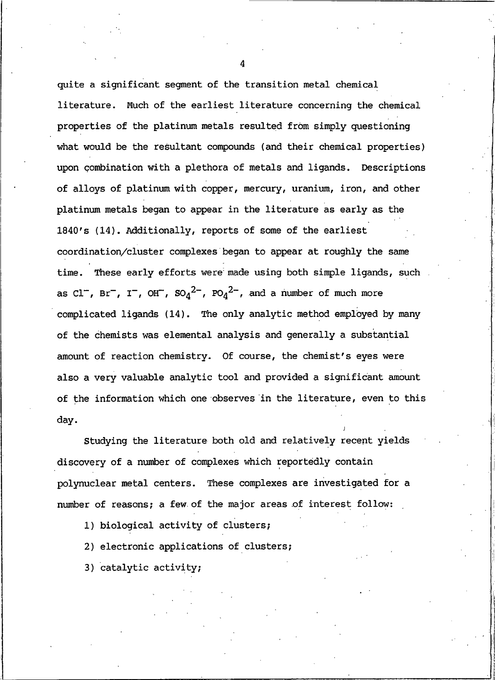quite a significant segment of the transition metal chemical literature. Much of the earliest literature concerning the chemical properties of the platinum metals resulted from simply questioning what would be the resultant compounds (and their chemical properties) upon combination with a plethora of metals and ligands. Descriptions of alloys of platinum with copper, mercury, uranium, iron, and other platinum metals began to appear in the literature as early as the 1840's (14). Additionally, reports of some of the earliest coordination/cluster complexes began to appear at roughly the same time. These early efforts were made using both simple ligands, such as Cl<sup>-</sup>, Br<sup>-</sup>, I<sup>-</sup>, OH<sup>-</sup>, SO<sub>4</sub><sup>2-</sup>, PO<sub>4</sub><sup>2-</sup>, and a number of much more complicated ligands (14). The only analytic method employed by many of the chemists was elemental analysis and generally a substantial amount of reaction chemistry. Of course, the chemist's eyes were also a very valuable analytic tool and provided a significant amount of the information which one observes in the literature, even to this day.

Studying the literature both old and relatively recent yields discovery of a number of complexes which reportedly contain polynuclear metal centers. These complexes are investigated for a number of reasons; a few of the major areas of interest follow:

- 1) biological activity of clusters;
- 2) electronic applications of clusters;
- 3) catalytic activity;

4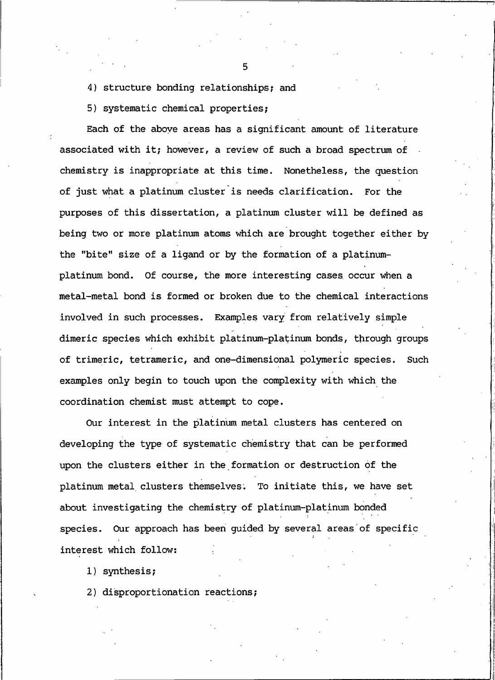4) structure bonding relationships; and

5) systematic chemical properties;

Each of the above areas has a significant amount of literature associated with it; however, a review of such a broad spectrum of chemistry is inappropriate at this time. Nonetheless, the question of just what a platinum cluster is needs clarification. For the purposes of this dissertation, a platinum cluster will be defined as being two or more platinum atoms which are brought together either by the "bite" size of a ligand or by the formation of a platinumplatinum bond. Of course, the more interesting cases occur when a metal-metal bond is formed or broken due to the chemical interactions involved in such processes. Examples vary from relatively simple dimeric species which exhibit platinum-platinum bonds, through groups of trimeric, tetrameric, and one-dimensional polymeric species. Such examples only begin to touch upon the complexity with which the coordination chemist must attempt to cope.

Our interest in the platinum metal clusters has centered on developing the type of systematic chemistry that can be performed upon the clusters either in the formation or destruction of the platinum metal clusters themselves. To initiate this, we have set about investigating the chemistry of platinum-platinum bonded species. Our approach has been quided by several areas of specific interest which follow:

1) synthesis;

2) disproportionation reactions;

5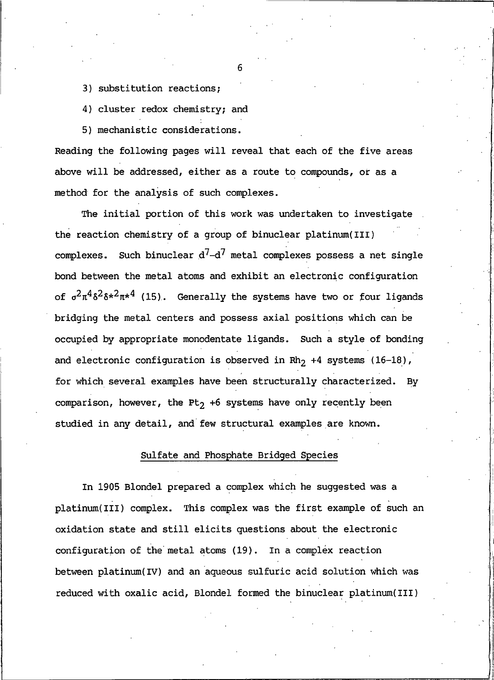3) substitution reactions;

4) cluster redox chemistry; and

5) mechanistic considerations.

Reading the following pages will reveal that each of the five areas above will be addressed, either as a route to compounds, or as a method for the analysis of such complexes.

The initial portion of this work was undertaken to investigate the reaction chemistry of a group of binuclear platinum (III) complexes. Such binuclear  $d^7-d^7$  metal complexes possess a net single bond between the metal atoms and exhibit an electronic configuration of  $\sigma^2 \pi^4 \delta^2 \delta^{*2} \pi^{*4}$  (15). Generally the systems have two or four ligands bridging the metal centers and possess axial positions which can be occupied by appropriate monodentate ligands. Such a style of bonding and electronic configuration is observed in Rh<sub>2</sub> +4 systems  $(16-18)$ , for which several examples have been structurally characterized. By comparison, however, the Pt<sub>2</sub> +6 systems have only recently been studied in any detail, and few structural examples are known.

### Sulfate and Phosphate Bridged Species

In 1905 Blondel prepared a complex which he suggested was a platinum(III) complex. This complex was the first example of such an oxidation state and still elicits questions about the electronic configuration of the metal atoms (19). In a complex reaction between platinum(IV) and an aqueous sulfuric acid solution which was reduced with oxalic acid, Blondel formed the binuclear platinum(III)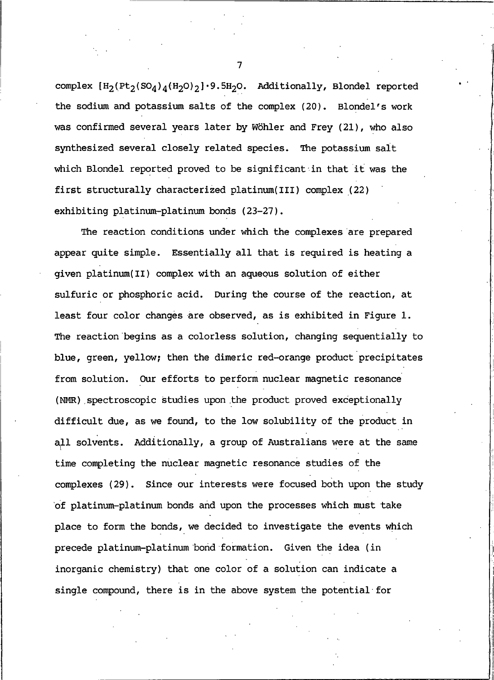complex  $[H_2(PL_2(SO_4)_4(H_2O)_2]\cdot 9.5H_2O$ . Additionally, Blondel reported the sodium and potassium salts of the complex (20). Blondel's work was confirmed several years later by Wöhler and Frey (21), who also synthesized several closely related species. The potassium salt which Blondel reported proved to be significant in that it was the first structurally characterized platinum(III) complex (22) exhibiting platinum-platinum bonds (23-27).

The reaction conditions under which the complexes are prepared appear quite simple. Essentially all that is required is heating a given platinum(II) complex with an aqueous solution of either sulfuric or phosphoric acid. During the course of the reaction, at least four color changes are observed, as is exhibited in Figure 1. The reaction begins as a colorless solution, changing sequentially to blue, green, yellow; then the dimeric red-orange product precipitates from solution. Our efforts to perform nuclear magnetic resonance (NMR) spectroscopic studies upon the product proved exceptionally difficult due, as we found, to the low solubility of the product in all solvents. Additionally, a group of Australians were at the same time completing the nuclear magnetic resonance studies of the complexes (29). Since our interests were focused both upon the study of platinum-platinum bonds and upon the processes which must take place to form the bonds, we decided to investigate the events which precede platinum-platinum bond formation. Given the idea (in inorganic chemistry) that one color of a solution can indicate a single compound, there is in the above system the potential for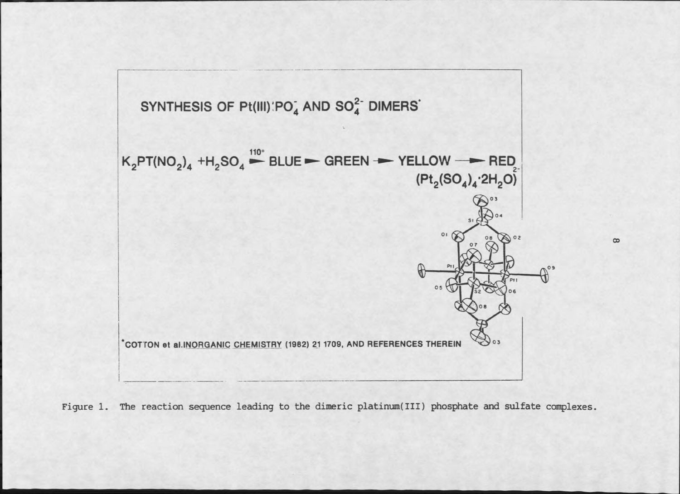

Figure 1. The reaction sequence leading to the dimeric platinum(III) phosphate and sulfate complexes.

 $\infty$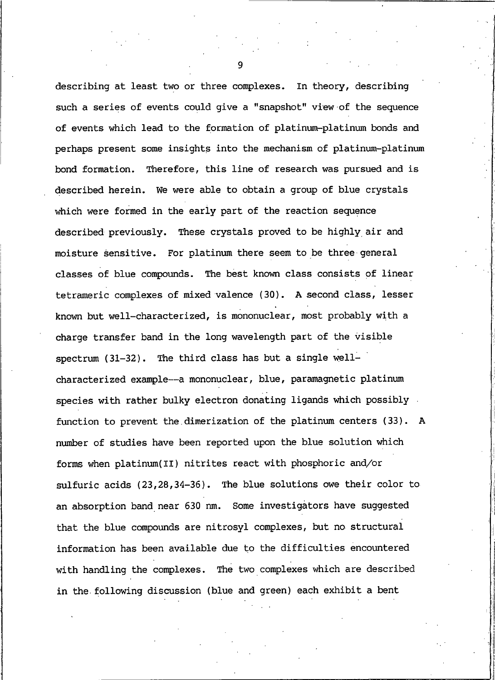describing at least two or three complexes. In theory, describing such a series of events could give a "snapshot" view of the sequence of events which lead to the formation of platinum-platinum bonds and perhaps present some insights into the mechanism of platinum-platinum bond formation. Therefore, this line of research was pursued and is described herein. We were able to obtain a group of blue crystals which were formed in the early part of the reaction sequence described previously. These crystals proved to be highly air and moisture sensitive. For platinum there seem to be three general classes of blue compounds. The best known class consists of linear tetrameric complexes of mixed valence (30). A second class, lesser known but well-characterized, is mononuclear, most probably with a charge transfer band in the long wavelength part of the visible spectrum (31-32). The third class has but a single wellcharacterized example--- a mononuclear, blue, paramagnetic platinum species with rather bulky electron donating ligands which possibly function to prevent the dimerization of the platinum centers (33). A number of studies have been reported upon the blue solution which forms when platinum(II) nitrites react with phosphoric and/or sulfuric acids (23,28,34-36). The blue solutions owe their color to an absorption band near 630 nm. Some investigators have suggested that the blue compounds are nitrosyl complexes, but no structural information has been available due to the difficulties encountered with handling the complexes. The two complexes which are described in the following discussion (blue and green) each exhibit a bent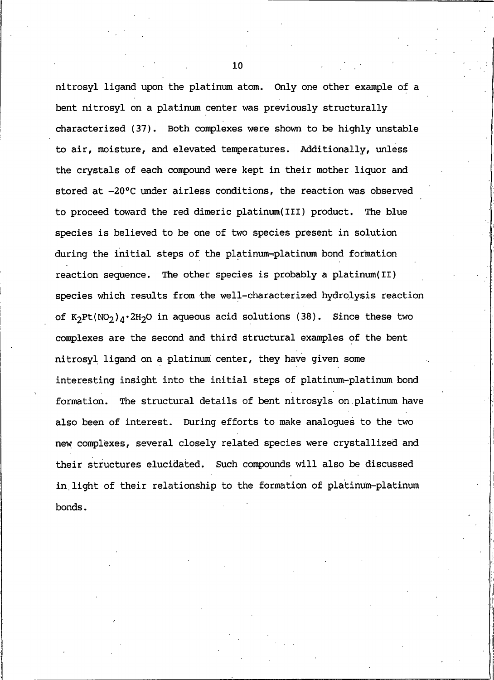nitrosyl ligand upon the platinum atom. Only one other example of a bent nitrosyl on a platinum center was previously structurally characterized (37). Both complexes were shown to be highly unstable to air, moisture, and elevated temperatures. Additionally, unless the crystals of each compound were kept in their mother liquor and stored at -20°C under airless conditions, the reaction was observed to proceed toward the red dimeric platinum(III) product. The blue species is believed to be one of two species present in solution during the initial steps of the platinum-platinum bond formation reaction sequence. The other species is probably a platinum(II) species which results from the well-characterized hydrolysis reaction of K<sub>2</sub>Pt(NO<sub>2</sub>)<sub>A</sub>·2H<sub>2</sub>O in aqueous acid solutions (38). Since these two complexes are the second and third structural examples of the bent nitrosyl ligand on a platinum center, they have given some interesting insight into the initial steps of platinum-platinum bond formation. The structural details of bent nitrosyls on platinum have also been of interest. During efforts to make analogues to the two new complexes, several closely related species were crystallized and their structures elucidated. Such compounds will also be discussed in light of their relationship to the formation of platinum-platinum bonds.

10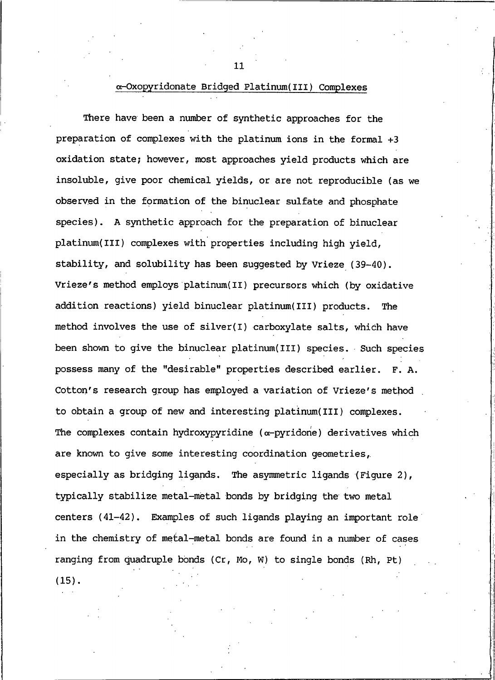### ∝-Oxopyridonate Bridged Platinum(III) Complexes

There have been a number of synthetic approaches for the preparation of complexes with the platinum ions in the formal +3 oxidation state; however, most approaches yield products which are insoluble, give poor chemical yields, or are not reproducible (as we observed in the formation of the binuclear sulfate and phosphate species). A synthetic approach for the preparation of binuclear platinum(III) complexes with properties including high yield, stability, and solubility has been suggested by Vrieze (39-40). Vrieze's method employs platinum(II) precursors which (by oxidative addition reactions) yield binuclear platinum(III) products. The method involves the use of silver(I) carboxylate salts, which have been shown to give the binuclear platinum(III) species. Such species possess many of the "desirable" properties described earlier. F. A. Cotton's research group has employed a variation of Vrieze's method to obtain a group of new and interesting platinum(III) complexes. The complexes contain hydroxypyridine ( $\alpha$ -pyridone) derivatives which are known to give some interesting coordination geometries, especially as bridging ligands. The asymmetric ligands (Figure 2), typically stabilize metal-metal bonds by bridging the two metal centers (41-42). Examples of such ligands playing an important role in the chemistry of metal-metal bonds are found in a number of cases ranging from quadruple bonds (Cr, Mo, W) to single bonds (Rh, Pt)  $(15)$ .

11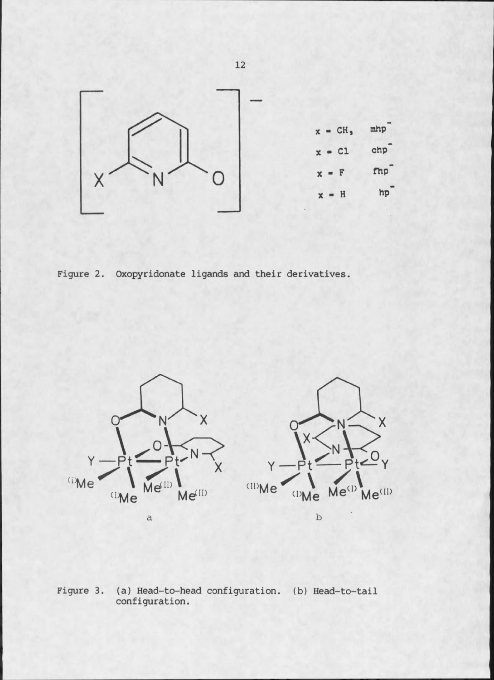

Figure 2. Oxopyridonate ligands and their derivatives.



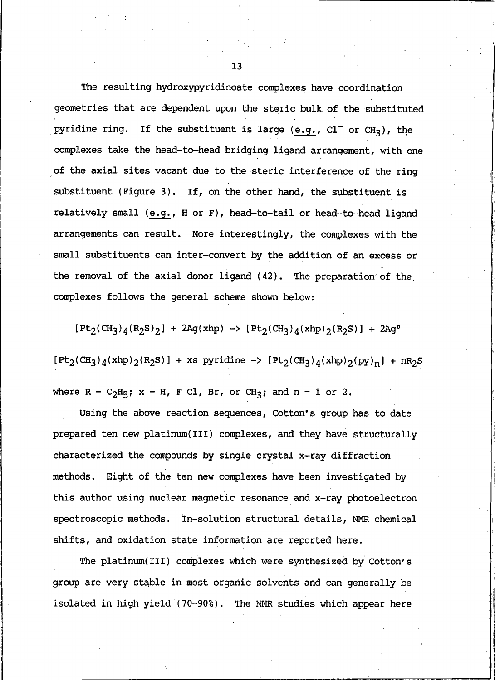The resulting hydroxypyridinoate complexes have coordination geometries that are dependent upon the steric bulk of the substituted pyridine ring. If the substituent is large (e.g.,  $CI^-$  or  $CH_3$ ), the complexes take the head-to-head bridging ligand arrangement, with one of the axial sites vacant due to the steric interference of the ring substituent (Figure 3). If, on the other hand, the substituent is relatively small (e.g., H or F), head-to-tail or head-to-head ligand arrangements can result. More interestingly, the complexes with the small substituents can inter-convert by the addition of an excess or the removal of the axial donor ligand (42). The preparation of the complexes follows the general scheme shown below:

 $[Pt_2(CH_3)_4(R_2S)_2]$  + 2Ag(xhp) ->  $[Pt_2(CH_3)_4(xhp)_2(R_2S)]$  + 2Ag<sup>o</sup>

 $[Pt_2(CH_3)_{4}(xhp)_2(R_2S)] + xs pyridine \rightarrow [Pt_2(CH_3)_{4}(xhp)_2(pp)_n] + nR_2S$ 

where  $R = C_2H_5$ ;  $x = H$ ,  $F Cl$ ,  $Br$ , or  $CH_3$ ; and  $n = 1$  or 2.

Using the above reaction sequences, Cotton's group has to date prepared ten new platinum(III) complexes, and they have structurally characterized the compounds by single crystal x-ray diffraction Eight of the ten new complexes have been investigated by methods. this author using nuclear magnetic resonance and x-ray photoelectron spectroscopic methods. In-solution structural details, NMR chemical shifts, and oxidation state information are reported here.

The platinum(III) complexes which were synthesized by Cotton's group are very stable in most organic solvents and can generally be isolated in high yield (70-90%). The NMR studies which appear here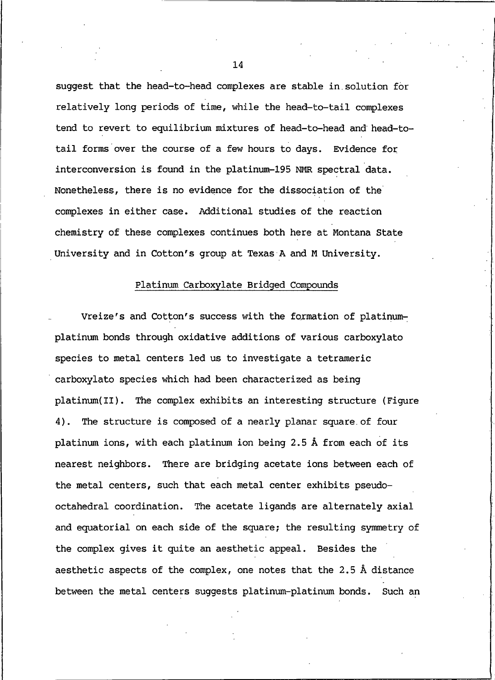suggest that the head-to-head complexes are stable in solution for relatively long periods of time, while the head-to-tail complexes tend to revert to equilibrium mixtures of head-to-head and head-totail forms over the course of a few hours to days. Evidence for interconversion is found in the platinum-195 NMR spectral data. Nonetheless, there is no evidence for the dissociation of the complexes in either case. Additional studies of the reaction chemistry of these complexes continues both here at Montana State University and in Cotton's group at Texas A and M University.

### Platinum Carboxylate Bridged Compounds

Vreize's and Cotton's success with the formation of platinumplatinum bonds through oxidative additions of various carboxylato species to metal centers led us to investigate a tetrameric carboxylato species which had been characterized as being platinum(II). The complex exhibits an interesting structure (Figure 4). The structure is composed of a nearly planar square of four platinum ions, with each platinum ion being 2.5 Å from each of its nearest neighbors. There are bridging acetate ions between each of the metal centers, such that each metal center exhibits pseudooctahedral coordination. The acetate ligands are alternately axial and equatorial on each side of the square; the resulting symmetry of the complex gives it quite an aesthetic appeal. Besides the aesthetic aspects of the complex, one notes that the 2.5 Å distance between the metal centers suggests platinum-platinum bonds. Such an

 $14$